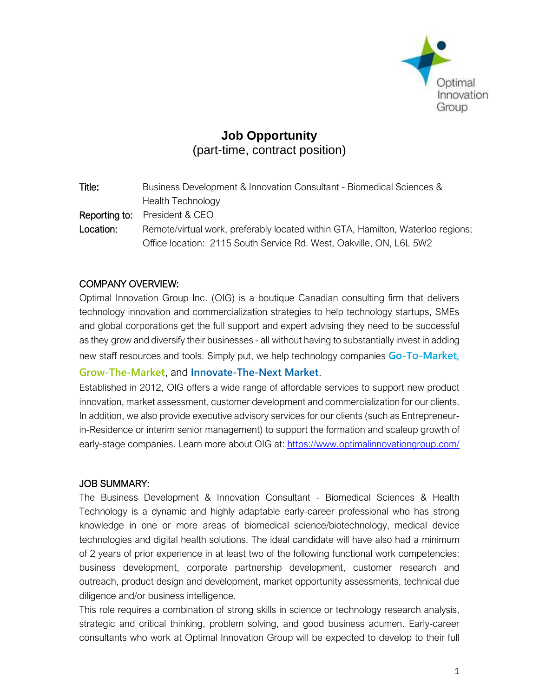

# **Job Opportunity**  (part-time, contract position)

| Business Development & Innovation Consultant - Biomedical Sciences &            |
|---------------------------------------------------------------------------------|
| <b>Health Technology</b>                                                        |
| <b>Reporting to:</b> President & CEO                                            |
| Remote/virtual work, preferably located within GTA, Hamilton, Waterloo regions; |
| Office location: 2115 South Service Rd. West, Oakville, ON, L6L 5W2             |
|                                                                                 |

### COMPANY OVERVIEW:

Optimal Innovation Group Inc. (OIG) is a boutique Canadian consulting firm that delivers technology innovation and commercialization strategies to help technology startups, SMEs and global corporations get the full support and expert advising they need to be successful as they grow and diversify their businesses - all without having to substantially invest in adding new staff resources and tools. Simply put, we help technology companies **Go-To-Market,** 

### **Grow-The-Market**, and **Innovate-The-Next Market**.

Established in 2012, OIG offers a wide range of affordable services to support new product innovation, market assessment, customer development and commercialization for our clients. In addition, we also provide executive advisory services for our clients (such as Entrepreneurin-Residence or interim senior management) to support the formation and scaleup growth of early-stage companies. Learn more about OIG at:<https://www.optimalinnovationgroup.com/>

#### JOB SUMMARY:

The Business Development & Innovation Consultant - Biomedical Sciences & Health Technology is a dynamic and highly adaptable early-career professional who has strong knowledge in one or more areas of biomedical science/biotechnology, medical device technologies and digital health solutions. The ideal candidate will have also had a minimum of 2 years of prior experience in at least two of the following functional work competencies: business development, corporate partnership development, customer research and outreach, product design and development, market opportunity assessments, technical due diligence and/or business intelligence.

This role requires a combination of strong skills in science or technology research analysis, strategic and critical thinking, problem solving, and good business acumen. Early-career consultants who work at Optimal Innovation Group will be expected to develop to their full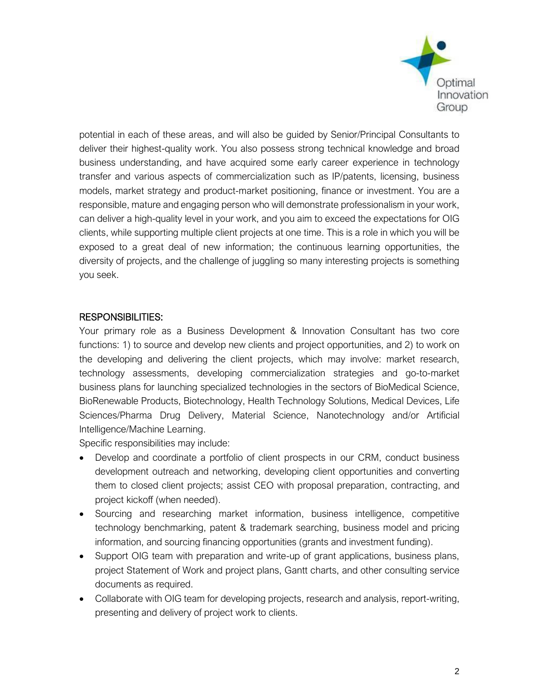

potential in each of these areas, and will also be guided by Senior/Principal Consultants to deliver their highest-quality work. You also possess strong technical knowledge and broad business understanding, and have acquired some early career experience in technology transfer and various aspects of commercialization such as IP/patents, licensing, business models, market strategy and product-market positioning, finance or investment. You are a responsible, mature and engaging person who will demonstrate professionalism in your work, can deliver a high-quality level in your work, and you aim to exceed the expectations for OIG clients, while supporting multiple client projects at one time. This is a role in which you will be exposed to a great deal of new information; the continuous learning opportunities, the diversity of projects, and the challenge of juggling so many interesting projects is something you seek.

## RESPONSIBILITIES:

Your primary role as a Business Development & Innovation Consultant has two core functions: 1) to source and develop new clients and project opportunities, and 2) to work on the developing and delivering the client projects, which may involve: market research, technology assessments, developing commercialization strategies and go-to-market business plans for launching specialized technologies in the sectors of BioMedical Science, BioRenewable Products, Biotechnology, Health Technology Solutions, Medical Devices, Life Sciences/Pharma Drug Delivery, Material Science, Nanotechnology and/or Artificial Intelligence/Machine Learning.

Specific responsibilities may include:

- Develop and coordinate a portfolio of client prospects in our CRM, conduct business development outreach and networking, developing client opportunities and converting them to closed client projects; assist CEO with proposal preparation, contracting, and project kickoff (when needed).
- Sourcing and researching market information, business intelligence, competitive technology benchmarking, patent & trademark searching, business model and pricing information, and sourcing financing opportunities (grants and investment funding).
- Support OIG team with preparation and write-up of grant applications, business plans, project Statement of Work and project plans, Gantt charts, and other consulting service documents as required.
- Collaborate with OIG team for developing projects, research and analysis, report-writing, presenting and delivery of project work to clients.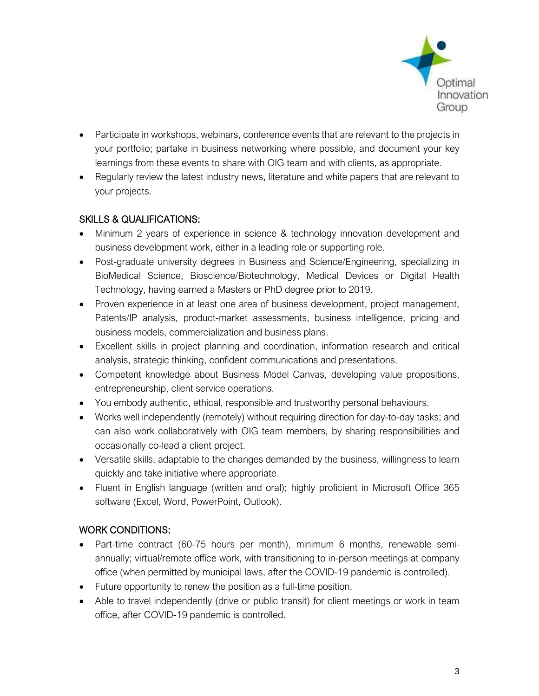

- Participate in workshops, webinars, conference events that are relevant to the projects in your portfolio; partake in business networking where possible, and document your key learnings from these events to share with OIG team and with clients, as appropriate.
- Regularly review the latest industry news, literature and white papers that are relevant to your projects.

## SKILLS & QUALIFICATIONS:

- Minimum 2 years of experience in science & technology innovation development and business development work, either in a leading role or supporting role.
- Post-graduate university degrees in Business and Science/Engineering, specializing in BioMedical Science, Bioscience/Biotechnology, Medical Devices or Digital Health Technology, having earned a Masters or PhD degree prior to 2019.
- Proven experience in at least one area of business development, project management, Patents/IP analysis, product-market assessments, business intelligence, pricing and business models, commercialization and business plans.
- Excellent skills in project planning and coordination, information research and critical analysis, strategic thinking, confident communications and presentations.
- Competent knowledge about Business Model Canvas, developing value propositions, entrepreneurship, client service operations.
- You embody authentic, ethical, responsible and trustworthy personal behaviours.
- Works well independently (remotely) without requiring direction for day-to-day tasks; and can also work collaboratively with OIG team members, by sharing responsibilities and occasionally co-lead a client project.
- Versatile skills, adaptable to the changes demanded by the business, willingness to learn quickly and take initiative where appropriate.
- Fluent in English language (written and oral); highly proficient in Microsoft Office 365 software (Excel, Word, PowerPoint, Outlook).

# WORK CONDITIONS:

- Part-time contract (60-75 hours per month), minimum 6 months, renewable semiannually; virtual/remote office work, with transitioning to in-person meetings at company office (when permitted by municipal laws, after the COVID-19 pandemic is controlled).
- Future opportunity to renew the position as a full-time position.
- Able to travel independently (drive or public transit) for client meetings or work in team office, after COVID-19 pandemic is controlled.